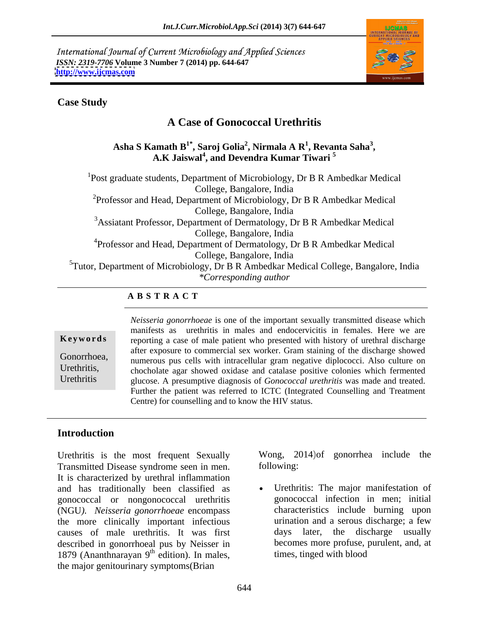International Journal of Current Microbiology and Applied Sciences *ISSN: 2319-7706* **Volume 3 Number 7 (2014) pp. 644-647 <http://www.ijcmas.com>**



#### **Case Study**

# **A Case of Gonococcal Urethritis**

 $\mathbf{A}\mathbf{sha} \mathbf{S}\mathbf{K}$ amath  $\mathbf{B}^{1*}, \mathbf{S}$ aroj Golia $^2, \mathbf{N}$ irmala A  $\mathbf{R}^{1}, \mathbf{Revarta}$  Saha $^3,$ **, Revanta Saha<sup>3</sup> , A.K Jaiswal<sup>4</sup> , and Devendra Kumar Tiwari <sup>5</sup>**

<sup>1</sup>Post graduate students, Department of Microbiology, Dr B R Ambedkar Medical College, Bangalore, India <sup>2</sup>Professor and Head, Department of Microbiology, Dr B R Ambedkar Medical College, Bangalore, India <sup>3</sup>Assiatant Professor, Department of Dermatology, Dr B R Ambedkar Medical College, Bangalore, India <sup>4</sup>Professor and Head, Department of Dermatology, Dr B R Ambedkar Medical College, Bangalore, India <sup>5</sup>Tutor, Department of Microbiology, Dr B R Ambedkar Medical College, Bangalore, India *\*Corresponding author* 

#### **A B S T R A C T**

**Keywords** reporting a case of male patient who presented with history of urethral discharge Gonorrhoea,<br>
numerous pus cells with intracellular gram negative diplococci. Also culture on Urethritis, chocholate agar showed oxidase and catalase positive colonies which fermented Urethritis glucose. A presumptive diagnosis of *Gonococcal urethritis* was made and treated. *Neisseria gonorrhoeae* is one of the important sexually transmitted disease which manifests as urethritis in males and endocervicitis in females. Here we are after exposure to commercial sex worker. Gram staining of the discharge showed Further the patient was referred to ICTC (Integrated Counselling and Treatment Centre) for counselling and to know the HIV status.

### **Introduction**

Urethritis is the most frequent Sexually Transmitted Disease syndrome seen in men. It is characterized by urethral inflammation and has traditionally been classified as gonococcal or nongonococcal urethritis (NGU*). Neisseria gonorrhoeae* encompass the more clinically important infectious urination and a serous discharge; a few causes of male urethritis. It was first described in gonorrhoeal pus by Neisser in 1879 (Ananthnarayan  $9<sup>th</sup>$  edition). In males, the major genitourinary symptoms(Brian

Wong, 2014)of gonorrhea include the following: The state of the state of the state of the state of the state of the state of the state of the state of the state of the state of the state of the state of the state of the state of the state of the state of the

<sup>th</sup> edition). In males, times, tinged with blood edition). In males, times, times, tinged with blood Urethritis: The major manifestation of gonococcal infection in men; initial characteristics include burning upon urination and a serous discharge; a few days later, the discharge usually becomes more profuse, purulent, and, at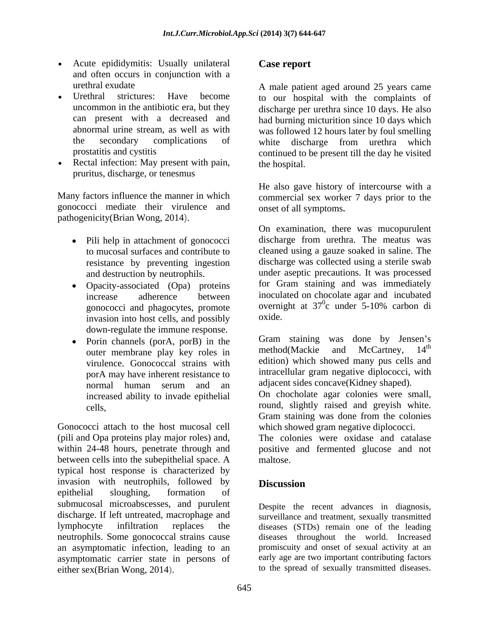- Acute epididymitis: Usually unilateral **Case report** and often occurs in conjunction with a
- 
- Rectal infection: May present with pain, the hospital. pruritus, discharge, or tenesmus

gonococci mediate their virulence and

- 
- Opacity-associated (Opa) proteins gonococci and phagocytes, promote overnig<br>invasion into host cells and possibly oxide. invasion into host cells, and possibly
- outer membrane play key roles in virulence. Gonococcal strains with normal human serum and an adjacent sides concave (Kidney shaped). increased ability to invade epithelial

Gonococci attach to the host mucosal cell (pili and Opa proteins play major roles) and, within 24-48 hours, penetrate through and positive and fermented glucose and not between cells into the subepithelial space. A maltose. typical host response is characterized by invasion with neutrophils, followed by **Discussion** epithelial sloughing, formation of submucosal microabscesses, and purulent discharge. If left untreated, macrophage and lymphocyte infiltration replaces the diseases (STDs) remain one of the leading neutrophils. Some gonococcal strains cause diseases throughout the world. Increased an asymptomatic infection, leading to an asymptomatic carrier state in persons of A case considerably interesting contain the case **considerably interesting the complete section of the main particular section of the complete section of the section of the complete section of the constraints of complete** 

urethral exudate A male patient aged around 25 years came Urethral strictures: Have become to our hospital with the complaints of uncommon in the antibiotic era, but they discharge per urethra since 10 days. He also can present with a decreased and had burning micturition since 10 days which abnormal urine stream, as well as with was followed 12 hours later by foul smelling the secondary complications of white discharge from urethra which prostatitis and cystitis continued to be present till the day he visited the hospital.

Many factors influence the manner in which commercial sex worker 7 days prior to the He also gave history of intercourse with a onset of all symptoms**.** 

pathogenicity(Brian Wong, 2014).<br>
On examination, there was mucopurulent<br>
Pili help in attachment of gonococci discharge from urethra. The meatus was to mucosal surfaces and contribute to cleaned using a gauze soaked in saline. The resistance by preventing ingestion discharge was collected using a sterile swab and destruction by neutrophils. under aseptic precautions. It was processed increase adherence between inoculated on chocolate agar and incubated On examination, there was mucopurulent discharge from urethra. The meatus was for Gram staining and was immediately overnight at  $37^\circ$ c under 5-10% carbon di c under 5-10% carbon di oxide.

down-regulate the immune response.<br>Porin channels (por A por R) in the Gram staining was done by Jensen's • Porin channels (porA, porB) in the  $\frac{1}{2}$  Gram staining was done by Jensen's outer membrane play key roles in method(Mackie and McCartney, 14<sup>th</sup> porA may have inherent resistance to **the intracellular** gram negative diplococci, with Gram staining was done by Jensen's method(Mackie and McCartney, 14<sup>th</sup> the contract of the contract of the contract of the contract of the contract of the contract of the contract of the contract of the contract of the contract of the contract of the contract of the contract of the contract o edition) which showed many pus cells and intracellular gram negative diplococci, with adjacent sides concave(Kidney shaped).

cells, round, slightly raised and greyish white. On chocholate agar colonies were small, Gram staining was done from the colonies which showed gram negative diplococci.

The colonies were oxidase and catalase maltose.

## **Discussion**

Despite the recent advances in diagnosis, surveillance and treatment, sexually transmitted promiscuity and onset of sexual activity at an early age are two important contributing factors to the spread of sexually transmitted diseases.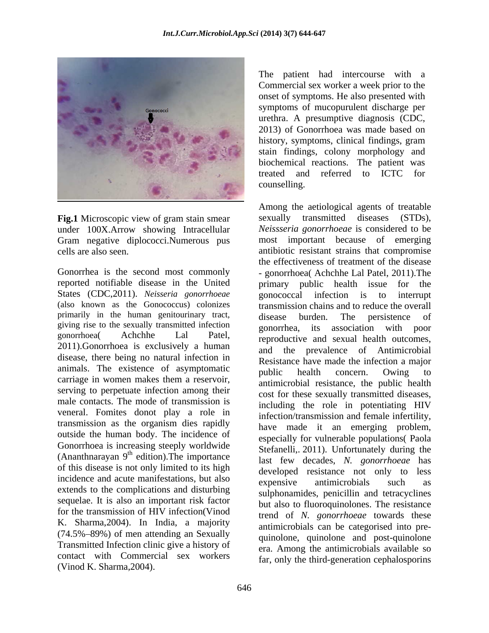

**Fig.1** Microscopic view of gram stain smear under 100X.Arrow showing Intracellular Gram negative diplococci.Numerous pus

reported notifiable disease in the United States (CDC,2011). *Neisseria gonorrhoeae gonococcal infection is to interrupt* (also known as the Gonococcus) colonizes primarily in the human genitourinary tract, disease burden. The persistence of giving rise to the sexually transmitted infection 2011).Gonorrhoea is exclusively a human disease, there being no natural infection in animals. The existence of asymptomatic public health concern. Owing to carriage in women makes them a reservoir, serving to perpetuate infection among their male contacts. The mode of transmission is veneral. Fomites donot play a role in transmission as the organism dies rapidly outside the human body. The incidence of Gonorrhoea is increasing steeply worldwide of this disease is not only limited to its high incidence and acute manifestations, but also expensive antimicrobials such as extends to the complications and disturbing sequelae. It is also an important risk factor for the transmission of HIV infection(Vinod K. Sharma,2004). In India, a majority  $(74.5\% - 89\%)$  of men attending an Sexually Transmitted Infection clinic give a history of contact with Commercial sex workers

Commercial sex worker a week prior to the onset of symptoms. He also presented with symptoms of mucopurulent discharge per urethra. A presumptive diagnosis (CDC, 2013) of Gonorrhoea was made based on history, symptoms, clinical findings, gram stain findings, colony morphology and biochemical reactions. The patient was treated and referred to ICTC for counselling.

cells are also seen. antibiotic resistant strains that compromise Gonorrhea is the second most commonly - gonorrhoea( Achchhe Lal Patel, 2011).The gonorrhoeal Achchhe Lal Patel, reproductive and sexual health outcomes, (Ananthnarayan  $9<sup>th</sup>$  edition). The importance last few decades N gonorrhoene has edition). The importance last few decades, *N. gonorrhoeae* has The main intercourse with a intercolar the main intercolar state in the presented with a patient of symptoms, the had presented with the patient of the patient of the patient of the patient of the patient of the patient o Among the aetiological agents of treatable sexually transmitted diseases (STDs), *Neissseria gonorrhoeae* is considered to be most important because of emerging the effectiveness of treatment of the disease primary public health issue for gonococcal infection is to interrupt transmission chains and to reduce the overall disease burden. The persistence of gonorrhea, its association with poor and the prevalence of Antimicrobial Resistance have made the infection a major public health concern. Owing to antimicrobial resistance, the public health cost for these sexually transmitted diseases, including the role in potentiating HIV infection/transmission and female infertility, have made it an emerging problem, especially for vulnerable populations( Paola Stefanelli,. 2011). Unfortunately during the developed resistance not only to less expensive antimicrobials such as sulphonamides, penicillin and tetracyclines but also to fluoroquinolones. The resistance trend of *N. gonorrhoeae* towards these antimicrobials can be categorised into pre quinolone, quinolone and post-quinolone era. Among the antimicrobials available so far, only the third-generation cephalosporins